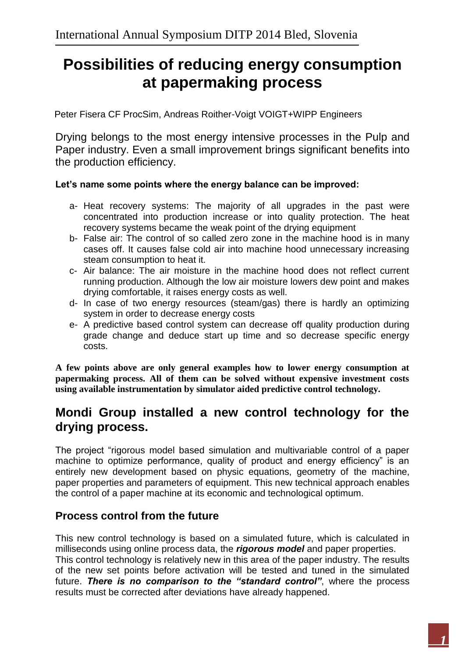# **Possibilities of reducing energy consumption at papermaking process**

Peter Fisera CF ProcSim, Andreas Roither-Voigt VOIGT+WIPP Engineers

Drying belongs to the most energy intensive processes in the Pulp and Paper industry. Even a small improvement brings significant benefits into the production efficiency.

#### **Let's name some points where the energy balance can be improved:**

- a- Heat recovery systems: The majority of all upgrades in the past were concentrated into production increase or into quality protection. The heat recovery systems became the weak point of the drying equipment
- b- False air: The control of so called zero zone in the machine hood is in many cases off. It causes false cold air into machine hood unnecessary increasing steam consumption to heat it.
- c- Air balance: The air moisture in the machine hood does not reflect current running production. Although the low air moisture lowers dew point and makes drying comfortable, it raises energy costs as well.
- d- In case of two energy resources (steam/gas) there is hardly an optimizing system in order to decrease energy costs
- e- A predictive based control system can decrease off quality production during grade change and deduce start up time and so decrease specific energy costs.

**A few points above are only general examples how to lower energy consumption at papermaking process. All of them can be solved without expensive investment costs using available instrumentation by simulator aided predictive control technology.**

### **Mondi Group installed a new control technology for the drying process.**

The project "rigorous model based simulation and multivariable control of a paper machine to optimize performance, quality of product and energy efficiency" is an entirely new development based on physic equations, geometry of the machine, paper properties and parameters of equipment. This new technical approach enables the control of a paper machine at its economic and technological optimum.

### **Process control from the future**

This new control technology is based on a simulated future, which is calculated in milliseconds using online process data, the *rigorous model* and paper properties.

This control technology is relatively new in this area of the paper industry. The results of the new set points before activation will be tested and tuned in the simulated future. *There is no comparison to the "standard control"*, where the process results must be corrected after deviations have already happened.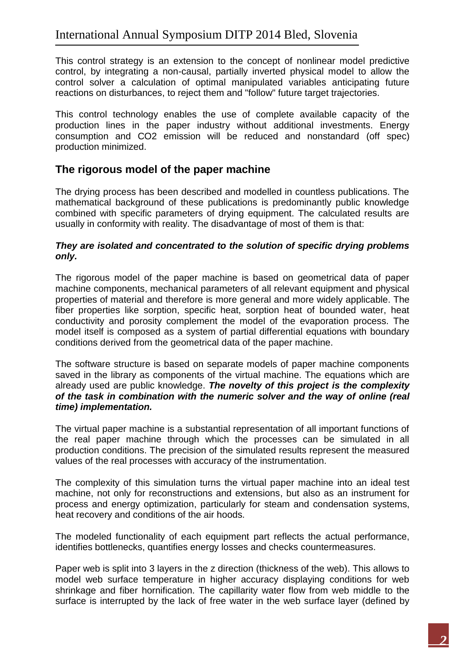This control strategy is an extension to the concept of nonlinear model predictive control, by integrating a non-causal, partially inverted physical model to allow the control solver a calculation of optimal manipulated variables anticipating future reactions on disturbances, to reject them and "follow" future target trajectories.

This control technology enables the use of complete available capacity of the production lines in the paper industry without additional investments. Energy consumption and CO2 emission will be reduced and nonstandard (off spec) production minimized.

### **The rigorous model of the paper machine**

The drying process has been described and modelled in countless publications. The mathematical background of these publications is predominantly public knowledge combined with specific parameters of drying equipment. The calculated results are usually in conformity with reality. The disadvantage of most of them is that:

#### *They are isolated and concentrated to the solution of specific drying problems only.*

The rigorous model of the paper machine is based on geometrical data of paper machine components, mechanical parameters of all relevant equipment and physical properties of material and therefore is more general and more widely applicable. The fiber properties like sorption, specific heat, sorption heat of bounded water, heat conductivity and porosity complement the model of the evaporation process. The model itself is composed as a system of partial differential equations with boundary conditions derived from the geometrical data of the paper machine.

The software structure is based on separate models of paper machine components saved in the library as components of the virtual machine. The equations which are already used are public knowledge. *The novelty of this project is the complexity of the task in combination with the numeric solver and the way of online (real time) implementation.*

The virtual paper machine is a substantial representation of all important functions of the real paper machine through which the processes can be simulated in all production conditions. The precision of the simulated results represent the measured values of the real processes with accuracy of the instrumentation.

The complexity of this simulation turns the virtual paper machine into an ideal test machine, not only for reconstructions and extensions, but also as an instrument for process and energy optimization, particularly for steam and condensation systems, heat recovery and conditions of the air hoods.

The modeled functionality of each equipment part reflects the actual performance, identifies bottlenecks, quantifies energy losses and checks countermeasures.

Paper web is split into 3 layers in the z direction (thickness of the web). This allows to model web surface temperature in higher accuracy displaying conditions for web shrinkage and fiber hornification. The capillarity water flow from web middle to the surface is interrupted by the lack of free water in the web surface layer (defined by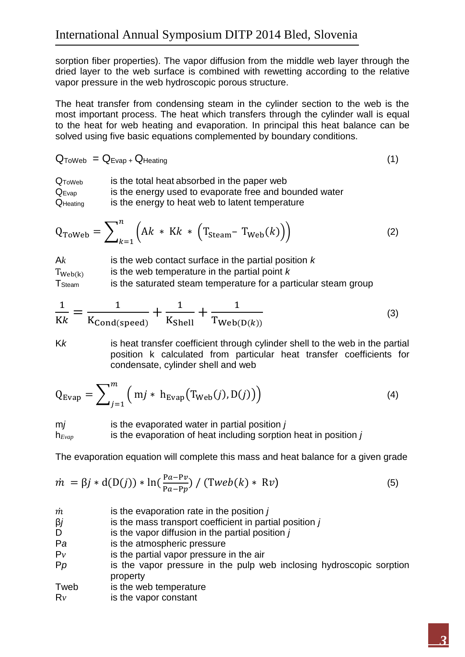sorption fiber properties). The vapor diffusion from the middle web layer through the dried layer to the web surface is combined with rewetting according to the relative vapor pressure in the web hydroscopic porous structure.

The heat transfer from condensing steam in the cylinder section to the web is the most important process. The heat which transfers through the cylinder wall is equal to the heat for web heating and evaporation. In principal this heat balance can be solved using five basic equations complemented by boundary conditions.

$$
Q_{ToWeb} = Q_{Evap} + Q_{Heating}
$$
 (1)

QToWeb is the total heat absorbed in the paper web Q<sub>Evap</sub> is the energy used to evaporate free and bounded water  $Q_{\text{Heatina}}$  is the energy to heat web to latent temperature

$$
Q_{\text{ToWeb}} = \sum_{k=1}^{n} \left( Ak \cdot KK \cdot \left( T_{\text{Steam}} - T_{\text{Web}}(k) \right) \right) \tag{2}
$$

A*k* is the web contact surface in the partial position *k*  $T_{Web(k)}$ is the web temperature in the partial point *k* T<sub>Steam</sub> is the saturated steam temperature for a particular steam group

$$
\frac{1}{Kk} = \frac{1}{K_{\text{Cond(speed)}}} + \frac{1}{K_{\text{Shell}}} + \frac{1}{T_{\text{Web}(D(k))}}
$$
(3)

Kk is heat transfer coefficient through cylinder shell to the web in the partial position k calculated from particular heat transfer coefficients for condensate, cylinder shell and web

$$
Q_{\text{Evap}} = \sum_{j=1}^{m} \left( mj * h_{\text{Evap}}(T_{\text{Web}}(j), D(j)) \right)
$$
 (4)

m*j* is the evaporated water in partial position *j*  h*Evap* is the evaporation of heat including sorption heat in position *j*

The evaporation equation will complete this mass and heat balance for a given grade

$$
\dot{m} = \beta j * d(D(j)) * \ln(\frac{Pa - Pv}{Pa - Pp}) / (Tweb(k) * Rv)
$$
\n(5)

- $\dot{m}$  is the evaporation rate in the position  $\dot{\mathbf{i}}$
- β*j* is the mass transport coefficient in partial position *j*

D is the vapor diffusion in the partial position *j* 

- P*a* is the atmospheric pressure
- $P_V$  is the partial vapor pressure in the air
- Pp is the vapor pressure in the pulp web inclosing hydroscopic sorption property
- Tweb is the web temperature
- R*v* is the vapor constant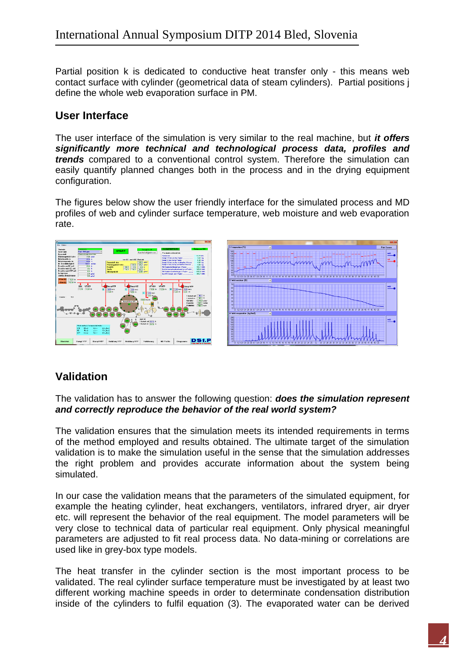Partial position k is dedicated to conductive heat transfer only - this means web contact surface with cylinder (geometrical data of steam cylinders). Partial positions j define the whole web evaporation surface in PM.

#### **User Interface**

The user interface of the simulation is very similar to the real machine, but *it offers significantly more technical and technological process data, profiles and trends* compared to a conventional control system. Therefore the simulation can easily quantify planned changes both in the process and in the drying equipment configuration.

The figures below show the user friendly interface for the simulated process and MD profiles of web and cylinder surface temperature, web moisture and web evaporation rate.



### **Validation**

The validation has to answer the following question: *does the simulation represent and correctly reproduce the behavior of the real world system?*

The validation ensures that the simulation meets its intended requirements in terms of the method employed and results obtained. The ultimate target of the simulation validation is to make the simulation useful in the sense that the simulation addresses the right problem and provides accurate information about the system being simulated.

In our case the validation means that the parameters of the simulated equipment, for example the heating cylinder, heat exchangers, ventilators, infrared dryer, air dryer etc. will represent the behavior of the real equipment. The model parameters will be very close to technical data of particular real equipment. Only physical meaningful parameters are adjusted to fit real process data. No data-mining or correlations are used like in grey-box type models.

The heat transfer in the cylinder section is the most important process to be validated. The real cylinder surface temperature must be investigated by at least two different working machine speeds in order to determinate condensation distribution inside of the cylinders to fulfil equation (3). The evaporated water can be derived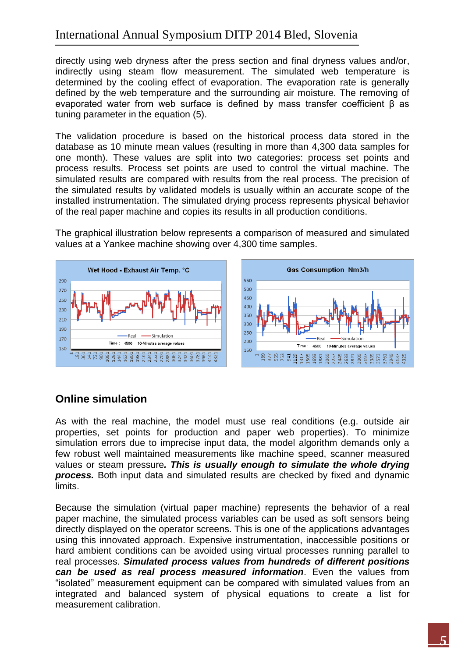### International Annual Symposium DITP 2014 Bled, Slovenia

directly using web dryness after the press section and final dryness values and/or, indirectly using steam flow measurement. The simulated web temperature is determined by the cooling effect of evaporation. The evaporation rate is generally defined by the web temperature and the surrounding air moisture. The removing of evaporated water from web surface is defined by mass transfer coefficient β as tuning parameter in the equation (5).

The validation procedure is based on the historical process data stored in the database as 10 minute mean values (resulting in more than 4,300 data samples for one month). These values are split into two categories: process set points and process results. Process set points are used to control the virtual machine. The simulated results are compared with results from the real process. The precision of the simulated results by validated models is usually within an accurate scope of the installed instrumentation. The simulated drying process represents physical behavior of the real paper machine and copies its results in all production conditions.

The graphical illustration below represents a comparison of measured and simulated values at a Yankee machine showing over 4,300 time samples.



#### **Online simulation**

As with the real machine, the model must use real conditions (e.g. outside air properties, set points for production and paper web properties). To minimize simulation errors due to imprecise input data, the model algorithm demands only a few robust well maintained measurements like machine speed, scanner measured values or steam pressure*. This is usually enough to simulate the whole drying process.* Both input data and simulated results are checked by fixed and dynamic limits.

Because the simulation (virtual paper machine) represents the behavior of a real paper machine, the simulated process variables can be used as soft sensors being directly displayed on the operator screens. This is one of the applications advantages using this innovated approach. Expensive instrumentation, inaccessible positions or hard ambient conditions can be avoided using virtual processes running parallel to real processes. *Simulated process values from hundreds of different positions can be used as real process measured information*. Even the values from "isolated" measurement equipment can be compared with simulated values from an integrated and balanced system of physical equations to create a list for measurement calibration.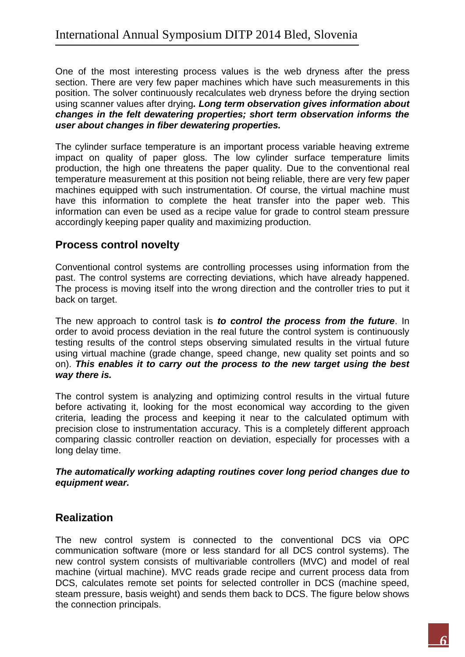One of the most interesting process values is the web dryness after the press section. There are very few paper machines which have such measurements in this position. The solver continuously recalculates web dryness before the drying section using scanner values after drying*. Long term observation gives information about changes in the felt dewatering properties; short term observation informs the user about changes in fiber dewatering properties.*

The cylinder surface temperature is an important process variable heaving extreme impact on quality of paper gloss. The low cylinder surface temperature limits production, the high one threatens the paper quality. Due to the conventional real temperature measurement at this position not being reliable, there are very few paper machines equipped with such instrumentation. Of course, the virtual machine must have this information to complete the heat transfer into the paper web. This information can even be used as a recipe value for grade to control steam pressure accordingly keeping paper quality and maximizing production.

### **Process control novelty**

Conventional control systems are controlling processes using information from the past. The control systems are correcting deviations, which have already happened. The process is moving itself into the wrong direction and the controller tries to put it back on target.

The new approach to control task is *to control the process from the future*. In order to avoid process deviation in the real future the control system is continuously testing results of the control steps observing simulated results in the virtual future using virtual machine (grade change, speed change, new quality set points and so on). *This enables it to carry out the process to the new target using the best way there is.*

The control system is analyzing and optimizing control results in the virtual future before activating it, looking for the most economical way according to the given criteria, leading the process and keeping it near to the calculated optimum with precision close to instrumentation accuracy. This is a completely different approach comparing classic controller reaction on deviation, especially for processes with a long delay time.

*The automatically working adapting routines cover long period changes due to equipment wear.*

### **Realization**

The new control system is connected to the conventional DCS via OPC communication software (more or less standard for all DCS control systems). The new control system consists of multivariable controllers (MVC) and model of real machine (virtual machine). MVC reads grade recipe and current process data from DCS, calculates remote set points for selected controller in DCS (machine speed, steam pressure, basis weight) and sends them back to DCS. The figure below shows the connection principals.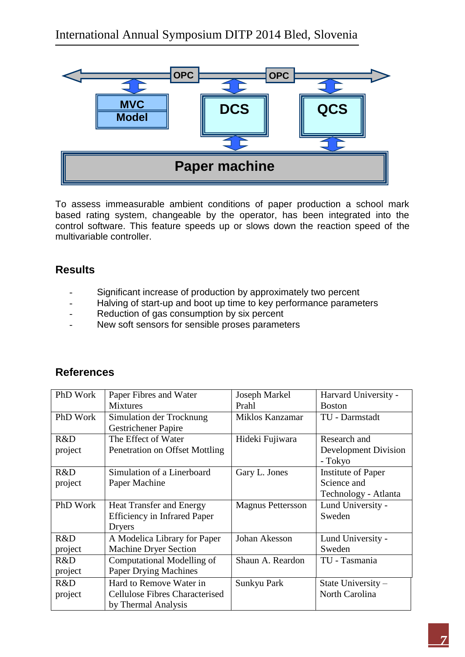

To assess immeasurable ambient conditions of paper production a school mark based rating system, changeable by the operator, has been integrated into the control software. This feature speeds up or slows down the reaction speed of the multivariable controller.

### **Results**

- Significant increase of production by approximately two percent
- Halving of start-up and boot up time to key performance parameters
- Reduction of gas consumption by six percent
- New soft sensors for sensible proses parameters

### **References**

| PhD Work | Paper Fibres and Water                | Joseph Markel            | Harvard University -      |
|----------|---------------------------------------|--------------------------|---------------------------|
|          | <b>Mixtures</b>                       | Prahl                    | <b>Boston</b>             |
| PhD Work | Simulation der Trocknung              | Miklos Kanzamar          | TU - Darmstadt            |
|          | <b>Gestrichener Papire</b>            |                          |                           |
| R&D      | The Effect of Water                   | Hideki Fujiwara          | Research and              |
| project  | Penetration on Offset Mottling        |                          | Development Division      |
|          |                                       |                          | - Tokyo                   |
| R&D      | Simulation of a Linerboard            | Gary L. Jones            | <b>Institute of Paper</b> |
| project  | Paper Machine                         |                          | Science and               |
|          |                                       |                          | Technology - Atlanta      |
| PhD Work | <b>Heat Transfer and Energy</b>       | <b>Magnus Pettersson</b> | Lund University -         |
|          | <b>Efficiency in Infrared Paper</b>   |                          | Sweden                    |
|          | Dryers                                |                          |                           |
| R&D      | A Modelica Library for Paper          | Johan Akesson            | Lund University -         |
| project  | <b>Machine Dryer Section</b>          |                          | Sweden                    |
| R&D      | Computational Modelling of            | Shaun A. Reardon         | TU - Tasmania             |
| project  | <b>Paper Drying Machines</b>          |                          |                           |
| R&D      | Hard to Remove Water in               | Sunkyu Park              | State University -        |
| project  | <b>Cellulose Fibres Characterised</b> |                          | North Carolina            |
|          | by Thermal Analysis                   |                          |                           |